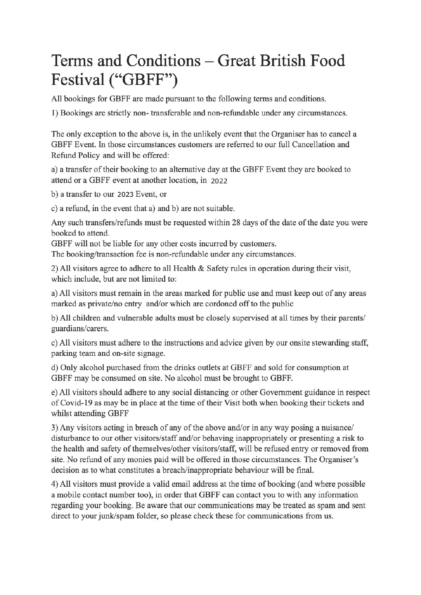# Terms and Conditions – Great British Food Festival ("GBFF")

All bookings for GBFF are made pursuant to the following terms and conditions.

1) Bookings are strictly non-transferable and non-refundable under any circumstances.

The only exception to the above is, in the unlikely event that the Organiser has to cancel a GBFF Event. In those circumstances customers are referred to our full Cancellation and Refund Policy and will be offered:

a) a transfer of their booking to an alternative day at the GBFF Event they are booked to attend or a GBFF event at another location, in 2022

b) a transfer to our 2023 Event, or

c) a refund, in the event that a) and b) are not suitable.

Any such transfers/refunds must be requested within 28 days of the date of the date you were booked to attend.

GBFF will not be liable for any other costs incurred by customers.

The booking/transaction fee is non-refundable under any circumstances.

2) All visitors agree to adhere to all Health & Safety rules in operation during their visit, which include, but are not limited to:

a) All visitors must remain in the areas marked for public use and must keep out of any areas marked as private/no entry and/or which are cordoned off to the public

b) All children and vulnerable adults must be closely supervised at all times by their parents/ guardians/carers.

c) All visitors must adhere to the instructions and advice given by our onsite stewarding staff, parking team and on-site signage.

d) Only alcohol purchased from the drinks outlets at GBFF and sold for consumption at GBFF may be consumed on site. No alcohol must be brought to GBFF.

e) All visitors should adhere to any social distancing or other Government guidance in respect of Covid-19 as may be in place at the time of their Visit both when booking their tickets and whilst attending GBFF

3) Any visitors acting in breach of any of the above and/or in any way posing a nuisance/ disturbance to our other visitors/staff and/or behaving inappropriately or presenting a risk to the health and safety of themselves/other visitors/staff, will be refused entry or removed from site. No refund of any monies paid will be offered in those circumstances. The Organiser's decision as to what constitutes a breach/inappropriate behaviour will be final.

4) All visitors must provide a valid email address at the time of booking (and where possible a mobile contact number too), in order that GBFF can contact you to with any information regarding your booking. Be aware that our communications may be treated as spam and sent direct to your junk/spam folder, so please check these for communications from us.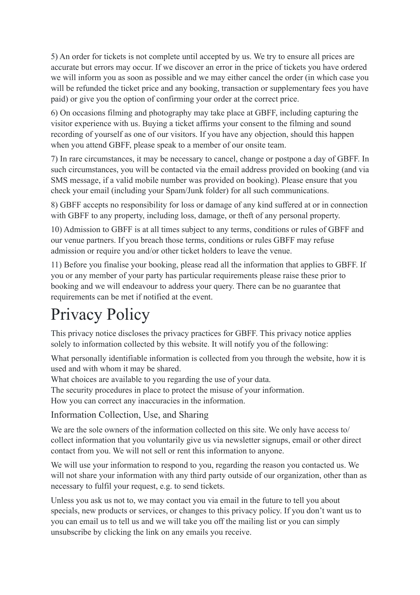5) An order for tickets is not complete until accepted by us. We try to ensure all prices are accurate but errors may occur. If we discover an error in the price of tickets you have ordered we will inform you as soon as possible and we may either cancel the order (in which case you will be refunded the ticket price and any booking, transaction or supplementary fees you have paid) or give you the option of confirming your order at the correct price.

6) On occasions filming and photography may take place at GBFF, including capturing the visitor experience with us. Buying a ticket affirms your consent to the filming and sound recording of yourself as one of our visitors. If you have any objection, should this happen when you attend GBFF, please speak to a member of our onsite team.

7) In rare circumstances, it may be necessary to cancel, change or postpone a day of GBFF. In such circumstances, you will be contacted via the email address provided on booking (and via SMS message, if a valid mobile number was provided on booking). Please ensure that you check your email (including your Spam/Junk folder) for all such communications.

8) GBFF accepts no responsibility for loss or damage of any kind suffered at or in connection with GBFF to any property, including loss, damage, or theft of any personal property.

10) Admission to GBFF is at all times subject to any terms, conditions or rules of GBFF and our venue partners. If you breach those terms, conditions or rules GBFF may refuse admission or require you and/or other ticket holders to leave the venue.

11) Before you finalise your booking, please read all the information that applies to GBFF. If you or any member of your party has particular requirements please raise these prior to booking and we will endeavour to address your query. There can be no guarantee that requirements can be met if notified at the event.

# Privacy Policy

This privacy notice discloses the privacy practices for GBFF. This privacy notice applies solely to information collected by this website. It will notify you of the following:

What personally identifiable information is collected from you through the website, how it is used and with whom it may be shared.

What choices are available to you regarding the use of your data.

The security procedures in place to protect the misuse of your information.

How you can correct any inaccuracies in the information.

Information Collection, Use, and Sharing

We are the sole owners of the information collected on this site. We only have access to/ collect information that you voluntarily give us via newsletter signups, email or other direct contact from you. We will not sell or rent this information to anyone.

We will use your information to respond to you, regarding the reason you contacted us. We will not share your information with any third party outside of our organization, other than as necessary to fulfil your request, e.g. to send tickets.

Unless you ask us not to, we may contact you via email in the future to tell you about specials, new products or services, or changes to this privacy policy. If you don't want us to you can email us to tell us and we will take you off the mailing list or you can simply unsubscribe by clicking the link on any emails you receive.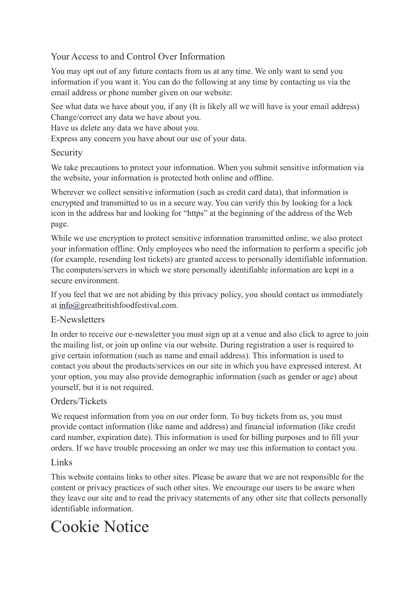## Your Access to and Control Over Information

You may opt out of any future contacts from us at any time. We only want to send you information if you want it. You can do the following at any time by contacting us via the email address or phone number given on our website:

See what data we have about you, if any (It is likely all we will have is your email address) Change/correct any data we have about you.

Have us delete any data we have about you.

Express any concern you have about our use of your data.

#### Security

We take precautions to protect your information. When you submit sensitive information via the website, your information is protected both online and offline.

Wherever we collect sensitive information (such as credit card data), that information is encrypted and transmitted to us in a secure way. You can verify this by looking for a lock icon in the address bar and looking for "https" at the beginning of the address of the Web page.

While we use encryption to protect sensitive information transmitted online, we also protect your information offline. Only employees who need the information to perform a specific job (for example, resending lost tickets) are granted access to personally identifiable information. The computers/servers in which we store personally identifiable information are kept in a secure environment.

If you feel that we are not abiding by this privacy policy, you should contact us immediately at [info@](mailto:info@luminate.live)greatbritishfoodfestival.com.

#### E-Newsletters

In order to receive our e-newsletter you must sign up at a venue and also click to agree to join the mailing list, or join up online via our website. During registration a user is required to give certain information (such as name and email address). This information is used to contact you about the products/services on our site in which you have expressed interest. At your option, you may also provide demographic information (such as gender or age) about yourself, but it is not required.

### Orders/Tickets

We request information from you on our order form. To buy tickets from us, you must provide contact information (like name and address) and financial information (like credit card number, expiration date). This information is used for billing purposes and to fill your orders. If we have trouble processing an order we may use this information to contact you.

#### Links

This website contains links to other sites. Please be aware that we are not responsible for the content or privacy practices of such other sites. We encourage our users to be aware when they leave our site and to read the privacy statements of any other site that collects personally identifiable information.

# Cookie Notice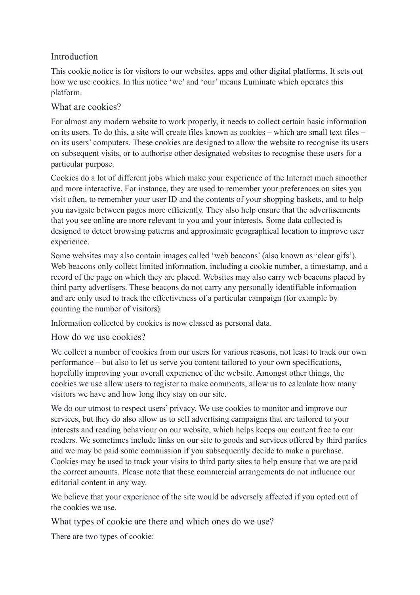### Introduction

This cookie notice is for visitors to our websites, apps and other digital platforms. It sets out how we use cookies. In this notice 'we' and 'our' means Luminate which operates this platform.

#### What are cookies?

For almost any modern website to work properly, it needs to collect certain basic information on its users. To do this, a site will create files known as cookies – which are small text files – on its users' computers. These cookies are designed to allow the website to recognise its users on subsequent visits, or to authorise other designated websites to recognise these users for a particular purpose.

Cookies do a lot of different jobs which make your experience of the Internet much smoother and more interactive. For instance, they are used to remember your preferences on sites you visit often, to remember your user ID and the contents of your shopping baskets, and to help you navigate between pages more efficiently. They also help ensure that the advertisements that you see online are more relevant to you and your interests. Some data collected is designed to detect browsing patterns and approximate geographical location to improve user experience.

Some websites may also contain images called 'web beacons' (also known as 'clear gifs'). Web beacons only collect limited information, including a cookie number, a timestamp, and a record of the page on which they are placed. Websites may also carry web beacons placed by third party advertisers. These beacons do not carry any personally identifiable information and are only used to track the effectiveness of a particular campaign (for example by counting the number of visitors).

Information collected by cookies is now classed as personal data.

How do we use cookies?

We collect a number of cookies from our users for various reasons, not least to track our own performance – but also to let us serve you content tailored to your own specifications, hopefully improving your overall experience of the website. Amongst other things, the cookies we use allow users to register to make comments, allow us to calculate how many visitors we have and how long they stay on our site.

We do our utmost to respect users' privacy. We use cookies to monitor and improve our services, but they do also allow us to sell advertising campaigns that are tailored to your interests and reading behaviour on our website, which helps keeps our content free to our readers. We sometimes include links on our site to goods and services offered by third parties and we may be paid some commission if you subsequently decide to make a purchase. Cookies may be used to track your visits to third party sites to help ensure that we are paid the correct amounts. Please note that these commercial arrangements do not influence our editorial content in any way.

We believe that your experience of the site would be adversely affected if you opted out of the cookies we use.

What types of cookie are there and which ones do we use?

There are two types of cookie: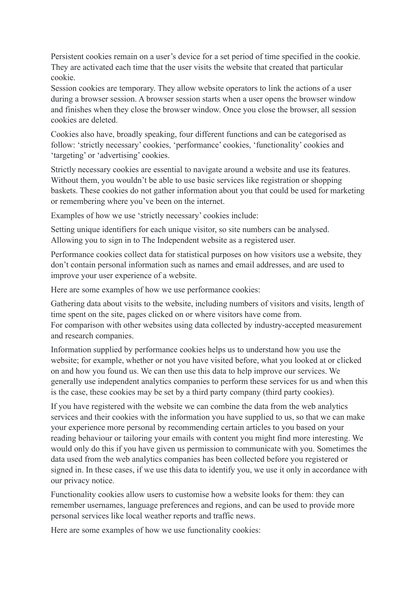Persistent cookies remain on a user's device for a set period of time specified in the cookie. They are activated each time that the user visits the website that created that particular cookie.

Session cookies are temporary. They allow website operators to link the actions of a user during a browser session. A browser session starts when a user opens the browser window and finishes when they close the browser window. Once you close the browser, all session cookies are deleted.

Cookies also have, broadly speaking, four different functions and can be categorised as follow: 'strictly necessary' cookies, 'performance' cookies, 'functionality' cookies and 'targeting' or 'advertising' cookies.

Strictly necessary cookies are essential to navigate around a website and use its features. Without them, you wouldn't be able to use basic services like registration or shopping baskets. These cookies do not gather information about you that could be used for marketing or remembering where you've been on the internet.

Examples of how we use 'strictly necessary' cookies include:

Setting unique identifiers for each unique visitor, so site numbers can be analysed. Allowing you to sign in to The Independent website as a registered user.

Performance cookies collect data for statistical purposes on how visitors use a website, they don't contain personal information such as names and email addresses, and are used to improve your user experience of a website.

Here are some examples of how we use performance cookies:

Gathering data about visits to the website, including numbers of visitors and visits, length of time spent on the site, pages clicked on or where visitors have come from. For comparison with other websites using data collected by industry-accepted measurement and research companies.

Information supplied by performance cookies helps us to understand how you use the website; for example, whether or not you have visited before, what you looked at or clicked on and how you found us. We can then use this data to help improve our services. We generally use independent analytics companies to perform these services for us and when this is the case, these cookies may be set by a third party company (third party cookies).

If you have registered with the website we can combine the data from the web analytics services and their cookies with the information you have supplied to us, so that we can make your experience more personal by recommending certain articles to you based on your reading behaviour or tailoring your emails with content you might find more interesting. We would only do this if you have given us permission to communicate with you. Sometimes the data used from the web analytics companies has been collected before you registered or signed in. In these cases, if we use this data to identify you, we use it only in accordance with our privacy notice.

Functionality cookies allow users to customise how a website looks for them: they can remember usernames, language preferences and regions, and can be used to provide more personal services like local weather reports and traffic news.

Here are some examples of how we use functionality cookies: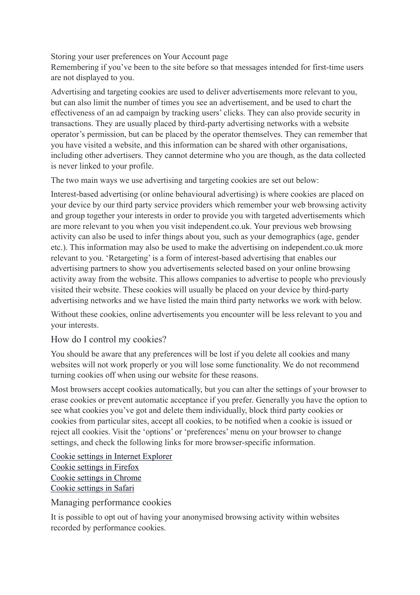Storing your user preferences on Your Account page

Remembering if you've been to the site before so that messages intended for first-time users are not displayed to you.

Advertising and targeting cookies are used to deliver advertisements more relevant to you, but can also limit the number of times you see an advertisement, and be used to chart the effectiveness of an ad campaign by tracking users' clicks. They can also provide security in transactions. They are usually placed by third-party advertising networks with a website operator's permission, but can be placed by the operator themselves. They can remember that you have visited a website, and this information can be shared with other organisations, including other advertisers. They cannot determine who you are though, as the data collected is never linked to your profile.

The two main ways we use advertising and targeting cookies are set out below:

Interest-based advertising (or online behavioural advertising) is where cookies are placed on your device by our third party service providers which remember your web browsing activity and group together your interests in order to provide you with targeted advertisements which are more relevant to you when you visit independent.co.uk. Your previous web browsing activity can also be used to infer things about you, such as your demographics (age, gender etc.). This information may also be used to make the advertising on independent.co.uk more relevant to you. 'Retargeting' is a form of interest-based advertising that enables our advertising partners to show you advertisements selected based on your online browsing activity away from the website. This allows companies to advertise to people who previously visited their website. These cookies will usually be placed on your device by third-party advertising networks and we have listed the main third party networks we work with below.

Without these cookies, online advertisements you encounter will be less relevant to you and your interests.

#### How do I control my cookies?

You should be aware that any preferences will be lost if you delete all cookies and many websites will not work properly or you will lose some functionality. We do not recommend turning cookies off when using our website for these reasons.

Most browsers accept cookies automatically, but you can alter the settings of your browser to erase cookies or prevent automatic acceptance if you prefer. Generally you have the option to see what cookies you've got and delete them individually, block third party cookies or cookies from particular sites, accept all cookies, to be notified when a cookie is issued or reject all cookies. Visit the 'options' or 'preferences' menu on your browser to change settings, and check the following links for more browser-specific information.

[Cookie settings in Internet Explorer](https://support.microsoft.com/en-us/help/17442/windows-internet-explorer-delete-manage-cookies%23_blank) [Cookie settings in Firefox](https://support.mozilla.com/en-US/kb/cookies-information-websites-store-on-your-computer?redirectlocale=en-US&redirectslug=Cookies%23_blank) [Cookie settings in Chrome](https://support.google.com/chrome/answer/95647?hl=en%23_blank) [Cookie settings in Safari](https://support.apple.com/?path=Safari/3.0/en/9277.html%23_blank)

Managing performance cookies

It is possible to opt out of having your anonymised browsing activity within websites recorded by performance cookies.